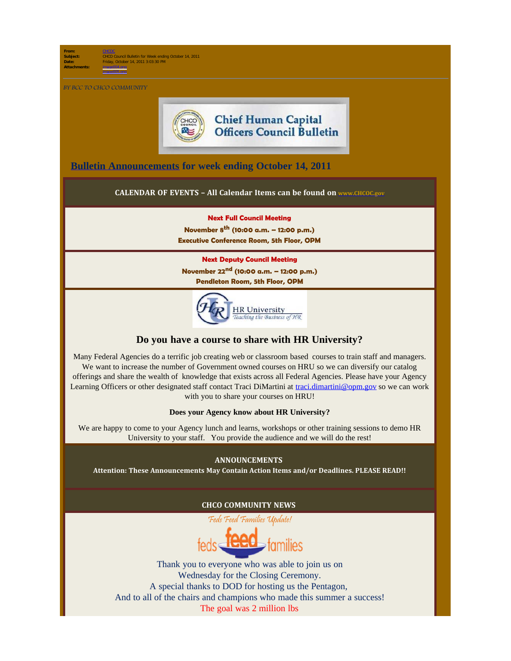**From:** [CHCOC](mailto:/O=OPM/OU=EXCHANGE ADMINISTRATIVE GROUP (FYDIBOHF23SPDLT)/CN=RECIPIENTS/CN=CHCOC) **Subject:** CHCO Council Bulletin for Week ending October 14, 2011 **Date:** Friday, October 14, 2011 3:03:30 PM **Attachments:** image004.png

BY BCC TO CHCO COMMUNITY

image005.png



# **Chief Human Capital Officers Council Bulletin**

**[Bulletin Announcements](http://chcoc.gov/Transmittals/Index.aspx) for week ending October 14, 2011** 

## **CALENDAR OF EVENTS – All Calendar Items can be found on [www.CHCOC.gov](http://www.chcoc.gov/)**

#### **Next Full Council Meeting**

**November 8th (10:00 a.m. – 12:00 p.m.) Executive Conference Room, 5th Floor, OPM**

#### **Next Deputy Council Meeting**

**November 22nd (10:00 a.m. – 12:00 p.m.)**

**Pendleton Room, 5th Floor, OPM**



## **Do you have a course to share with HR University?**

Many Federal Agencies do a terrific job creating web or classroom based courses to train staff and managers. We want to increase the number of Government owned courses on HRU so we can diversify our catalog offerings and share the wealth of knowledge that exists across all Federal Agencies. Please have your Agency Learning Officers or other designated staff contact Traci DiMartini at [traci.dimartini@opm.gov](mailto:traci.dimartini@opm.gov) so we can work with you to share your courses on HRU!

**Does your Agency know about HR University?**

We are happy to come to your Agency lunch and learns, workshops or other training sessions to demo HR University to your staff. You provide the audience and we will do the rest!

#### **ANNOUNCEMENTS**

**Attention: These Announcements May Contain Action Items and/or Deadlines. PLEASE READ!!**

## **CHCO COMMUNITY NEWS**

Feds Feed Families Update!

Thank you to everyone who was able to join us on Wednesday for the Closing Ceremony. A special thanks to DOD for hosting us the Pentagon, And to all of the chairs and champions who made this summer a success! The goal was 2 million lbs